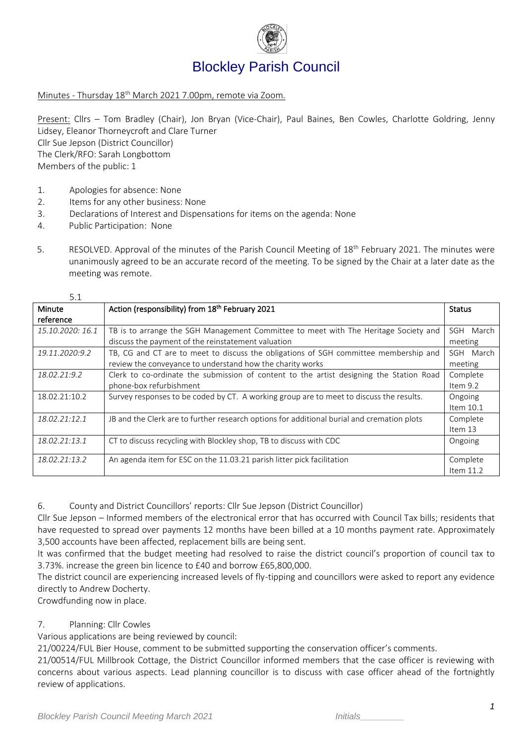

## Blockley Parish Council

Minutes - Thursday 18th March 2021 7.00pm, remote via Zoom.

Present: Cllrs – Tom Bradley (Chair), Jon Bryan (Vice-Chair), Paul Baines, Ben Cowles, Charlotte Goldring, Jenny Lidsey, Eleanor Thorneycroft and Clare Turner Cllr Sue Jepson (District Councillor) The Clerk/RFO: Sarah Longbottom Members of the public: 1

- 1. Apologies for absence: None
- 2. Items for any other business: None
- 3. Declarations of Interest and Dispensations for items on the agenda: None
- 4. Public Participation: None

 $\overline{a}$ 

5. RESOLVED. Approval of the minutes of the Parish Council Meeting of 18<sup>th</sup> February 2021. The minutes were unanimously agreed to be an accurate record of the meeting. To be signed by the Chair at a later date as the meeting was remote.

| 5.1              |                                                                                            |             |  |  |  |
|------------------|--------------------------------------------------------------------------------------------|-------------|--|--|--|
| Minute           | Action (responsibility) from 18th February 2021                                            |             |  |  |  |
| reference        |                                                                                            |             |  |  |  |
| 15.10.2020: 16.1 | TB is to arrange the SGH Management Committee to meet with The Heritage Society and        |             |  |  |  |
|                  | discuss the payment of the reinstatement valuation                                         | meeting     |  |  |  |
| 19.11.2020:9.2   | TB, CG and CT are to meet to discuss the obligations of SGH committee membership and       | SGH March   |  |  |  |
|                  | review the conveyance to understand how the charity works                                  | meeting     |  |  |  |
| 18.02.21:9.2     | Clerk to co-ordinate the submission of content to the artist designing the Station Road    | Complete    |  |  |  |
|                  | phone-box refurbishment                                                                    |             |  |  |  |
| 18.02.21:10.2    | Survey responses to be coded by CT. A working group are to meet to discuss the results.    |             |  |  |  |
|                  |                                                                                            | Item 10.1   |  |  |  |
| 18.02.21:12.1    | JB and the Clerk are to further research options for additional burial and cremation plots |             |  |  |  |
|                  |                                                                                            | Item 13     |  |  |  |
| 18.02.21:13.1    | CT to discuss recycling with Blockley shop, TB to discuss with CDC                         |             |  |  |  |
|                  |                                                                                            |             |  |  |  |
| 18.02.21:13.2    | An agenda item for ESC on the 11.03.21 parish litter pick facilitation                     |             |  |  |  |
|                  |                                                                                            | Item $11.2$ |  |  |  |

6. County and District Councillors' reports: Cllr Sue Jepson (District Councillor)

Cllr Sue Jepson – Informed members of the electronical error that has occurred with Council Tax bills; residents that have requested to spread over payments 12 months have been billed at a 10 months payment rate. Approximately 3,500 accounts have been affected, replacement bills are being sent.

It was confirmed that the budget meeting had resolved to raise the district council's proportion of council tax to 3.73%. increase the green bin licence to £40 and borrow £65,800,000.

The district council are experiencing increased levels of fly-tipping and councillors were asked to report any evidence directly to Andrew Docherty.

Crowdfunding now in place.

## 7. Planning: Cllr Cowles

Various applications are being reviewed by council:

21/00224/FUL Bier House, comment to be submitted supporting the conservation officer's comments.

21/00514/FUL Millbrook Cottage, the District Councillor informed members that the case officer is reviewing with concerns about various aspects. Lead planning councillor is to discuss with case officer ahead of the fortnightly review of applications.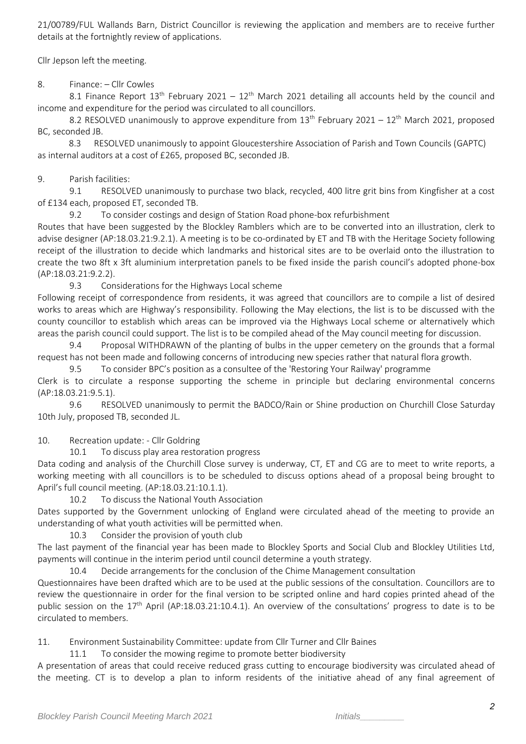21/00789/FUL Wallands Barn, District Councillor is reviewing the application and members are to receive further details at the fortnightly review of applications.

Cllr Jepson left the meeting.

8. Finance: – Cllr Cowles

8.1 Finance Report 13<sup>th</sup> February 2021 – 12<sup>th</sup> March 2021 detailing all accounts held by the council and income and expenditure for the period was circulated to all councillors.

8.2 RESOLVED unanimously to approve expenditure from  $13<sup>th</sup>$  February 2021 –  $12<sup>th</sup>$  March 2021, proposed BC, seconded JB.

8.3 RESOLVED unanimously to appoint Gloucestershire Association of Parish and Town Councils (GAPTC) as internal auditors at a cost of £265, proposed BC, seconded JB.

9. Parish facilities:

9.1 RESOLVED unanimously to purchase two black, recycled, 400 litre grit bins from Kingfisher at a cost of £134 each, proposed ET, seconded TB.

9.2 To consider costings and design of Station Road phone-box refurbishment

Routes that have been suggested by the Blockley Ramblers which are to be converted into an illustration, clerk to advise designer (AP:18.03.21:9.2.1). A meeting is to be co-ordinated by ET and TB with the Heritage Society following receipt of the illustration to decide which landmarks and historical sites are to be overlaid onto the illustration to create the two 8ft x 3ft aluminium interpretation panels to be fixed inside the parish council's adopted phone-box (AP:18.03.21:9.2.2).

9.3 Considerations for the Highways Local scheme

Following receipt of correspondence from residents, it was agreed that councillors are to compile a list of desired works to areas which are Highway's responsibility. Following the May elections, the list is to be discussed with the county councillor to establish which areas can be improved via the Highways Local scheme or alternatively which areas the parish council could support. The list is to be compiled ahead of the May council meeting for discussion.

9.4 Proposal WITHDRAWN of the planting of bulbs in the upper cemetery on the grounds that a formal request has not been made and following concerns of introducing new species rather that natural flora growth.

9.5 To consider BPC's position as a consultee of the 'Restoring Your Railway' programme

Clerk is to circulate a response supporting the scheme in principle but declaring environmental concerns (AP:18.03.21:9.5.1).

9.6 RESOLVED unanimously to permit the BADCO/Rain or Shine production on Churchill Close Saturday 10th July, proposed TB, seconded JL.

10. Recreation update: - Cllr Goldring

10.1 To discuss play area restoration progress

Data coding and analysis of the Churchill Close survey is underway, CT, ET and CG are to meet to write reports, a working meeting with all councillors is to be scheduled to discuss options ahead of a proposal being brought to April's full council meeting. (AP:18.03.21:10.1.1).

10.2 To discuss the National Youth Association

Dates supported by the Government unlocking of England were circulated ahead of the meeting to provide an understanding of what youth activities will be permitted when.

10.3 Consider the provision of youth club

The last payment of the financial year has been made to Blockley Sports and Social Club and Blockley Utilities Ltd, payments will continue in the interim period until council determine a youth strategy.

10.4 Decide arrangements for the conclusion of the Chime Management consultation

Questionnaires have been drafted which are to be used at the public sessions of the consultation. Councillors are to review the questionnaire in order for the final version to be scripted online and hard copies printed ahead of the public session on the 17<sup>th</sup> April (AP:18.03.21:10.4.1). An overview of the consultations' progress to date is to be circulated to members.

11. Environment Sustainability Committee: update from Cllr Turner and Cllr Baines

11.1 To consider the mowing regime to promote better biodiversity

A presentation of areas that could receive reduced grass cutting to encourage biodiversity was circulated ahead of the meeting. CT is to develop a plan to inform residents of the initiative ahead of any final agreement of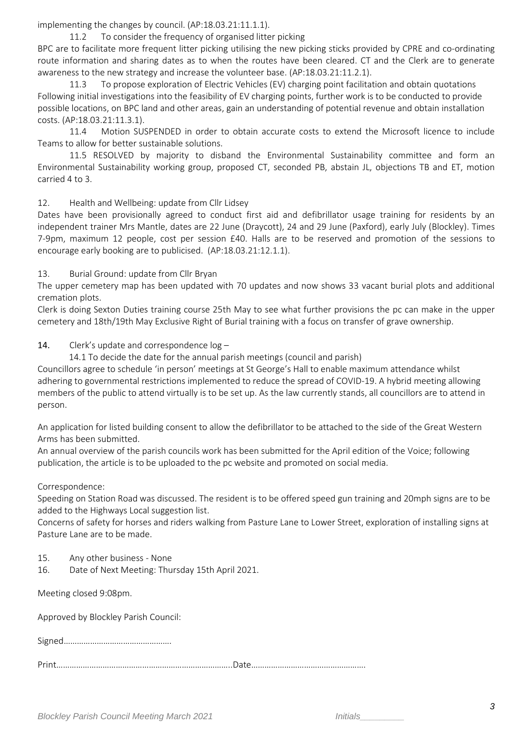implementing the changes by council. (AP:18.03.21:11.1.1).

11.2 To consider the frequency of organised litter picking

BPC are to facilitate more frequent litter picking utilising the new picking sticks provided by CPRE and co-ordinating route information and sharing dates as to when the routes have been cleared. CT and the Clerk are to generate awareness to the new strategy and increase the volunteer base. (AP:18.03.21:11.2.1).

11.3 To propose exploration of Electric Vehicles (EV) charging point facilitation and obtain quotations Following initial investigations into the feasibility of EV charging points, further work is to be conducted to provide possible locations, on BPC land and other areas, gain an understanding of potential revenue and obtain installation costs. (AP:18.03.21:11.3.1).

11.4 Motion SUSPENDED in order to obtain accurate costs to extend the Microsoft licence to include Teams to allow for better sustainable solutions.

11.5 RESOLVED by majority to disband the Environmental Sustainability committee and form an Environmental Sustainability working group, proposed CT, seconded PB, abstain JL, objections TB and ET, motion carried 4 to 3.

12. Health and Wellbeing: update from Cllr Lidsey

Dates have been provisionally agreed to conduct first aid and defibrillator usage training for residents by an independent trainer Mrs Mantle, dates are 22 June (Draycott), 24 and 29 June (Paxford), early July (Blockley). Times 7-9pm, maximum 12 people, cost per session £40. Halls are to be reserved and promotion of the sessions to encourage early booking are to publicised. (AP:18.03.21:12.1.1).

13. Burial Ground: update from Cllr Bryan

The upper cemetery map has been updated with 70 updates and now shows 33 vacant burial plots and additional cremation plots.

Clerk is doing Sexton Duties training course 25th May to see what further provisions the pc can make in the upper cemetery and 18th/19th May Exclusive Right of Burial training with a focus on transfer of grave ownership.

14. Clerk's update and correspondence  $log -$ 

14.1 To decide the date for the annual parish meetings (council and parish)

Councillors agree to schedule 'in person' meetings at St George's Hall to enable maximum attendance whilst adhering to governmental restrictions implemented to reduce the spread of COVID-19. A hybrid meeting allowing members of the public to attend virtually is to be set up. As the law currently stands, all councillors are to attend in person.

An application for listed building consent to allow the defibrillator to be attached to the side of the Great Western Arms has been submitted.

An annual overview of the parish councils work has been submitted for the April edition of the Voice; following publication, the article is to be uploaded to the pc website and promoted on social media.

Correspondence:

Speeding on Station Road was discussed. The resident is to be offered speed gun training and 20mph signs are to be added to the Highways Local suggestion list.

Concerns of safety for horses and riders walking from Pasture Lane to Lower Street, exploration of installing signs at Pasture Lane are to be made.

- 15. Any other business None
- 16. Date of Next Meeting: Thursday 15th April 2021.

Meeting closed 9:08pm.

Approved by Blockley Parish Council:

Signed………………………………………….

Print……………………………………………………………………..Date…………………………………………….